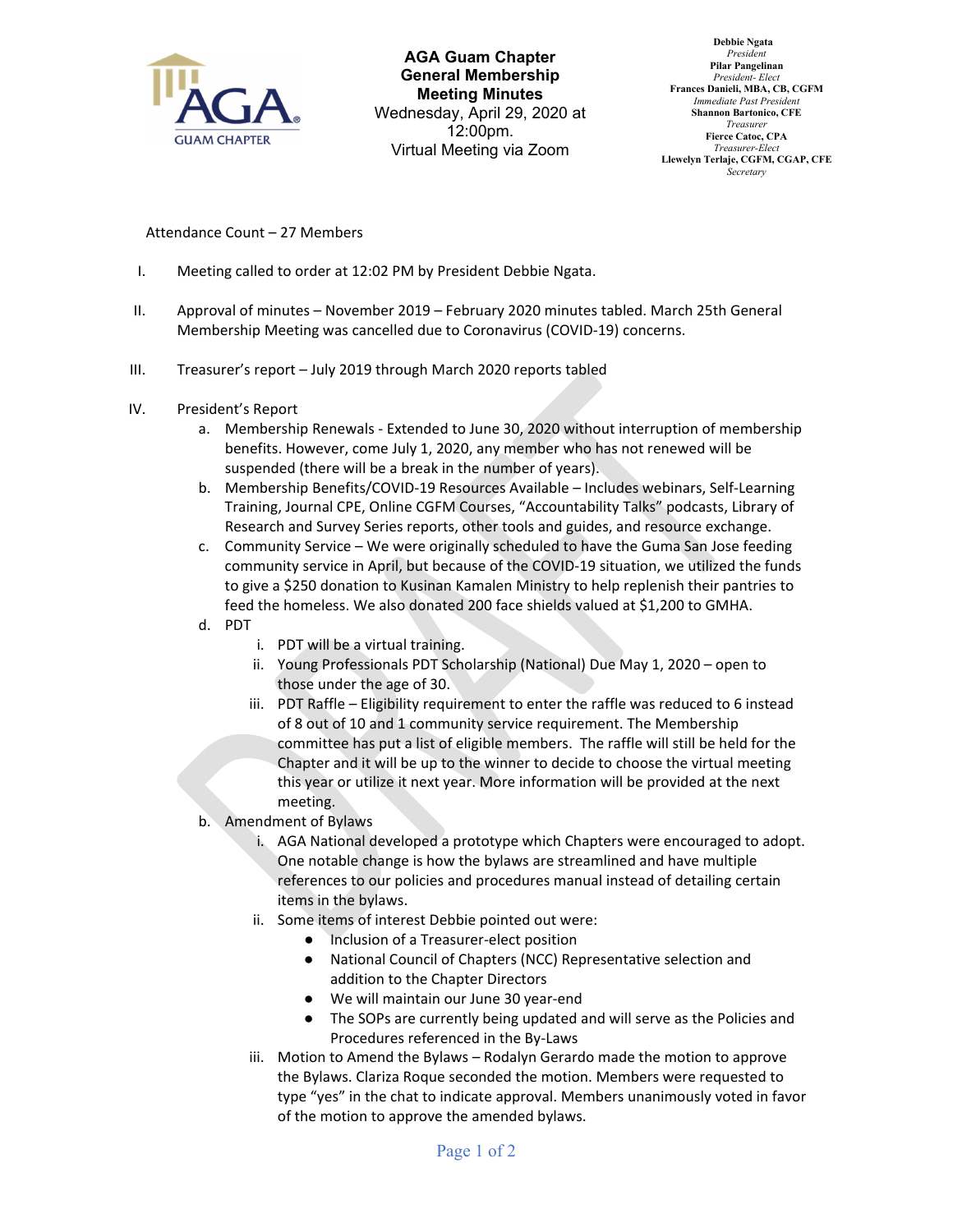

**AGA Guam Chapter General Membership Meeting Minutes** Wednesday, April 29, 2020 at 12:00pm. Virtual Meeting via Zoom

 **Debbie Ngata** *President* **Pilar Pangelinan** *President- Elect* **Frances Danieli, MBA, CB, CGFM** *Immediate Past President* **Shannon Bartonico, CFE** *Treasurer* **Fierce Catoc, CPA** *Treasurer-Elect* **Llewelyn Terlaje, CGFM, CGAP, CFE** *Secretary*

## Attendance Count – 27 Members

- I. Meeting called to order at 12:02 PM by President Debbie Ngata.
- II. Approval of minutes November 2019 February 2020 minutes tabled. March 25th General Membership Meeting was cancelled due to Coronavirus (COVID‐19) concerns.
- III. Treasurer's report July 2019 through March 2020 reports tabled
- IV. President's Report
	- a. Membership Renewals ‐ Extended to June 30, 2020 without interruption of membership benefits. However, come July 1, 2020, any member who has not renewed will be suspended (there will be a break in the number of years).
	- b. Membership Benefits/COVID‐19 Resources Available Includes webinars, Self‐Learning Training, Journal CPE, Online CGFM Courses, "Accountability Talks" podcasts, Library of Research and Survey Series reports, other tools and guides, and resource exchange.
	- c. Community Service We were originally scheduled to have the Guma San Jose feeding community service in April, but because of the COVID‐19 situation, we utilized the funds to give a \$250 donation to Kusinan Kamalen Ministry to help replenish their pantries to feed the homeless. We also donated 200 face shields valued at \$1,200 to GMHA.
	- d. PDT
		- i. PDT will be a virtual training.
		- ii. Young Professionals PDT Scholarship (National) Due May 1, 2020 open to those under the age of 30.
		- iii. PDT Raffle Eligibility requirement to enter the raffle was reduced to 6 instead of 8 out of 10 and 1 community service requirement. The Membership committee has put a list of eligible members. The raffle will still be held for the Chapter and it will be up to the winner to decide to choose the virtual meeting this year or utilize it next year. More information will be provided at the next meeting.
	- b. Amendment of Bylaws
		- i. AGA National developed a prototype which Chapters were encouraged to adopt. One notable change is how the bylaws are streamlined and have multiple references to our policies and procedures manual instead of detailing certain items in the bylaws.
		- ii. Some items of interest Debbie pointed out were:
			- Inclusion of a Treasurer-elect position
			- National Council of Chapters (NCC) Representative selection and addition to the Chapter Directors
			- We will maintain our June 30 year-end
			- The SOPs are currently being updated and will serve as the Policies and Procedures referenced in the By‐Laws
		- iii. Motion to Amend the Bylaws Rodalyn Gerardo made the motion to approve the Bylaws. Clariza Roque seconded the motion. Members were requested to type "yes" in the chat to indicate approval. Members unanimously voted in favor of the motion to approve the amended bylaws.